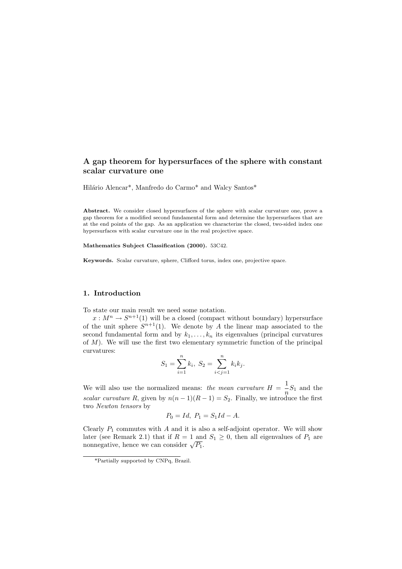# **A gap theorem for hypersurfaces of the sphere with constant**

Hilário Alencar<sup>\*</sup>, Manfredo do Carmo<sup>\*</sup> and Walcy Santos<sup>\*</sup>

Abstract. We consider closed hypersurfaces of the sphere with scalar curvature one, prove a gap theorem for a modified second fundamental form and determine the hypersurfaces that are at the end points of the gap. As an application we characterize the closed, two-sided index one hypersurfaces with scalar curvature one in the real projective space.

**Mathematics Subject Classification (2000).** 53C42.

**Keywords.** Scalar curvature, sphere, Clifford torus, index one, projective space.

## **1. Introduction**

To state our main result we need some notation.

 $x: M^n \to S^{n+1}(1)$  will be a closed (compact without boundary) hypersurface of the unit sphere  $S^{n+1}(1)$ . We denote by A the linear map associated to the second fundamental form and by  $k_1, \ldots, k_n$  its eigenvalues (principal curvatures of  $M$ ). We will use the first two elementary symmetric function of the principal curvatures:

$$
S_1 = \sum_{i=1}^n k_i, \ S_2 = \sum_{i < j=1}^n k_i k_j.
$$

We will also use the normalized means: *the mean curvature*  $H = \frac{1}{n}S_1$  and the *scalar curvature* R, given by  $n(n-1)(R-1) = S_2$ . Finally, we introduce the first two *Newton tensors* by

$$
P_0 = Id, \ P_1 = S_1 Id - A.
$$

Clearly  $P_1$  commutes with  $A$  and it is also a self-adjoint operator. We will show later (see Remark 2.1) that if  $R = 1$  and  $S_1 \geq 0$ , then all eigenvalues of  $P_1$  are nonnegative, hence we can consider  $\sqrt{P_1}$ .

<sup>\*</sup>Partially supported by CNPq, Brazil.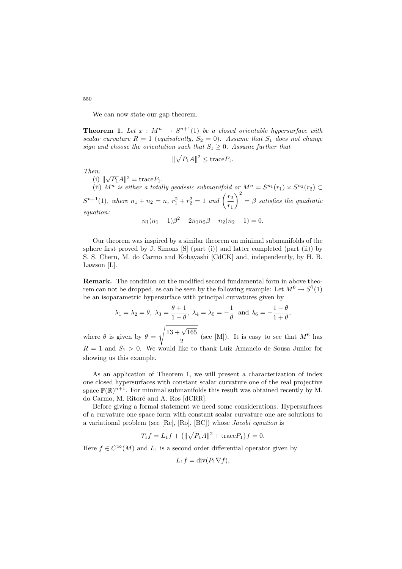We can now state our gap theorem.

**Theorem 1.** Let  $x : M^n \to S^{n+1}(1)$  be a closed orientable hypersurface with *scalar curvature*  $R = 1$  (*equivalently,*  $S_2 = 0$ *). Assume that*  $S_1$  *does not change sign and choose the orientation such that*  $S_1 \geq 0$ *. Assume further that* 

$$
\|\sqrt{P_1}A\|^2 \leq \text{trace}P_1.
$$

*Then:*

(i)  $\|\sqrt{P_1}A\|^2 = \text{trace}P_1.$ 

(ii)  $M^n$  *is either a totally geodesic submanifold or*  $M^n = S^{n_1}(r_1) \times S^{n_2}(r_2)$  $S^{n+1}(1)$ *, where*  $n_1 + n_2 = n$ *,*  $r_1^2 + r_2^2 = 1$  and  $\left(\frac{r_2}{r_1}\right)$  $\setminus^2$ = β *satisfies the quadratic equation:*  $n_1(n_1 - 1)\beta^2 - 2n_1n_2\beta + n_2(n_2 - 1) = 0.$ 

Our theorem was inspired by a similar theorem on minimal submanifolds of the sphere first proved by J. Simons  $[S]$  (part (i)) and latter completed (part (ii)) by S. S. Chern, M. do Carmo and Kobayashi [CdCK] and, independently, by H. B. Lawson [L].

**Remark.** The condition on the modified second fundamental form in above theorem can not be dropped, as can be seen by the following example: Let  $M^6 \rightarrow S^7(1)$ be an isoparametric hypersurface with principal curvatures given by

$$
\lambda_1 = \lambda_2 = \theta, \ \lambda_3 = \frac{\theta + 1}{1 - \theta}, \ \lambda_4 = \lambda_5 = -\frac{1}{\theta} \text{ and } \lambda_6 = -\frac{1 - \theta}{1 + \theta},
$$

where  $\theta$  is given by  $\theta =$  $\sqrt{13 + \sqrt{165}}$  $\frac{V \cdot 100}{2}$  (see [M]). It is easy to see that  $M^6$  has  $R = 1$  and  $S_1 > 0$ . We would like to thank Luiz Amancio de Sousa Junior for showing us this example.

As an application of Theorem 1, we will present a characterization of index one closed hypersurfaces with constant scalar curvature one of the real projective space  $\mathbb{P}(\mathbb{R})^{n+1}$ . For minimal submanifolds this result was obtained recently by M. do Carmo, M. Ritoré and A. Ros [dCRR].

Before giving a formal statement we need some considerations. Hypersurfaces of a curvature one space form with constant scalar curvature one are solutions to a variational problem (see [Re], [Ro], [BC]) whose *Jacobi equation* is

$$
T_1 f = L_1 f + {\|\sqrt{P_1}A\|^2} + \text{trace} P_1 f = 0.
$$

Here  $f \in C^{\infty}(M)$  and  $L_1$  is a second order differential operator given by

$$
L_1 f = \operatorname{div}(P_1 \nabla f),
$$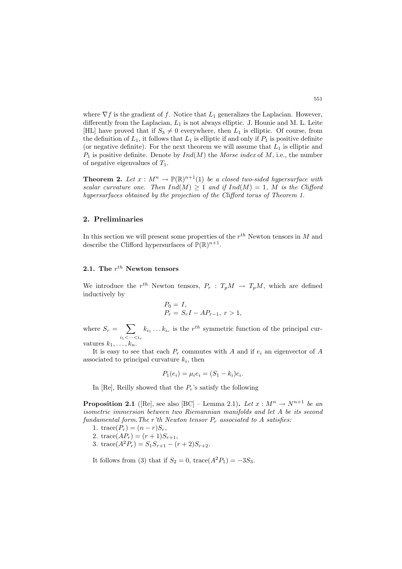where  $\nabla f$  is the gradient of f. Notice that  $L_1$  generalizes the Laplacian. However, differently from the Laplacian,  $L_1$  is not always elliptic. J. Hounie and M. L. Leite [HL] have proved that if  $S_3 \neq 0$  everywhere, then  $L_1$  is elliptic. Of course, from the definition of  $L_1$ , it follows that  $L_1$  is elliptic if and only if  $P_1$  is positive definite (or negative definite). For the next theorem we will assume that  $L_1$  is elliptic and  $P_1$  is positive definite. Denote by  $Ind(M)$  the *Morse index* of M, i.e., the number of negative eigenvalues of  $T_1$ .

**Theorem 2.** Let  $x : M^n \to \mathbb{P}(\mathbb{R})^{n+1}(1)$  be a closed two-sided hypersurface with *scalar curvature one. Then*  $Ind(M) \geq 1$  *and if*  $Ind(M) = 1$ *, M is the Clifford hypersurfaces obtained by the projection of the Clifford torus of Theorem 1.*

#### **2. Preliminaries**

In this section we will present some properties of the  $r^{th}$  Newton tensors in M and describe the Clifford hypersurfaces of  $\mathbb{P}(\mathbb{R})^{n+1}$ .

## **2.1.** The  $r^{th}$  **Newton tensors**

We introduce the r<sup>th</sup> Newton tensors,  $P_r$ :  $T_pM \rightarrow T_pM$ , which are defined inductively by

$$
P_0 = I,
$$
  
\n
$$
P_r = S_r I - A P_{r-1}, r > 1,
$$

where  $S_r = \sum$  $i_1<\cdots$  $k_{i_1} \ldots k_{i_r}$  is the  $r^{th}$  symmetric function of the principal curvatures  $k_1, \ldots, k_n$ .

It is easy to see that each  $P_r$  commutes with A and if  $e_i$  an eigenvector of A associated to principal curvature  $k_i$ , then

$$
P_1(e_i) = \mu_i e_i = (S_1 - k_i)e_i.
$$

In [Re], Reilly showed that the  $P_r$ 's satisfy the following

**Proposition 2.1** ([Re], see also [BC] – Lemma 2.1). Let  $x : M^n \to N^{n+1}$  be an *isometric immersion between two Riemannian manifolds and let* A *be its second fundamental form. The* r'th *Newton tensor*  $P_r$  *associated to* A *satisfies:* 

- 1. trace( $P_r$ ) =  $(n r)S_r$ ,
- 2. trace( $AP_r$ ) =  $(r + 1)S_{r+1}$ ,
- 3. trace( $A^2P_r$ ) =  $S_1S_{r+1} (r+2)S_{r+2}$ .
- It follows from (3) that if  $S_2 = 0$ , trace( $A^2P_1$ ) =  $-3S_3$ .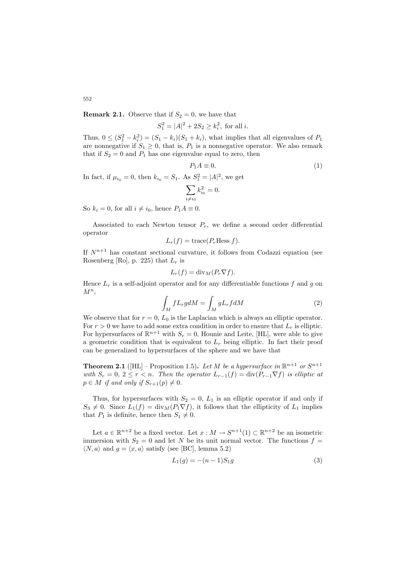**Remark 2.1.** Observe that if  $S_2 = 0$ , we have that

 $S_1^2 = |A|^2 + 2S_2 \ge k_i^2$ , for all *i*.

Thus,  $0 \leq (S_1^2 - k_i^2) = (S_1 - k_i)(S_1 + k_i)$ , what implies that all eigenvalues of  $P_1$ are nonnegative if  $S_1 \geq 0$ , that is,  $P_1$  is a nonnegative operator. We also remark that if  $S_2 = 0$  and  $P_1$  has one eigenvalue equal to zero, then

$$
P_1 A \equiv 0. \tag{1}
$$

In fact, if  $\mu_{i_0} = 0$ , then  $k_{i_0} = S_1$ . As  $S_1^2 = |A|^2$ , we get

$$
\sum_{i \neq i_0} k_{i_0}^2 = 0.
$$

So  $k_i = 0$ , for all  $i \neq i_0$ , hence  $P_1A \equiv 0$ .

Associated to each Newton tensor  $P_r$ , we define a second order differential operator

$$
L_r(f) = \text{trace}(P_r \text{Hess } f).
$$

If  $N^{n+1}$  has constant sectional curvature, it follows from Codazzi equation (see Rosenberg [Ro], p. 225) that  $L_r$  is

$$
L_r(f) = \text{div}_M(P_r \nabla f).
$$

Hence  $L_r$  is a self-adjoint operator and for any differentiable functions f and g on  $M^n$ ,

$$
\int_{M} fL_{r}gdM = \int_{M} gL_{r}fdM \tag{2}
$$

We observe that for  $r = 0$ ,  $L_0$  is the Laplacian which is always an elliptic operator. For  $r > 0$  we have to add some extra condition in order to ensure that  $L_r$  is elliptic. For hypersurfaces of  $\mathbb{R}^{n+1}$  with  $S_r = 0$ , Hounie and Leite, [HL], were able to give a geometric condition that is equivalent to  $L_r$  being elliptic. In fact their proof can be generalized to hypersurfaces of the sphere and we have that

**Theorem 2.1** ([HL] – Proposition 1.5). Let M be a hypersurface in  $\mathbb{R}^{n+1}$  or  $S^{n+1}$ *with*  $S_r = 0$ ,  $2 \leq r \leq n$ . Then the operator  $L_{r-1}(f) = \text{div}(P_{r-1} \nabla f)$  *is elliptic at*  $p \in M$  *if and only if*  $S_{r+1}(p) \neq 0$ .

Thus, for hypersurfaces with  $S_2 = 0$ ,  $L_1$  is an elliptic operator if and only if  $S_3 \neq 0$ . Since  $L_1(f) = \text{div}_M(P_1 \nabla f)$ , it follows that the ellipticity of  $L_1$  implies that  $P_1$  is definite, hence then  $S_1 \neq 0$ .

Let  $a \in \mathbb{R}^{n+2}$  be a fixed vector. Let  $x : M \to S^{n+1}(1) \subset \mathbb{R}^{n+2}$  be an isometric immersion with  $S_2 = 0$  and let N be its unit normal vector. The functions  $f =$  $\langle N, a \rangle$  and  $g = \langle x, a \rangle$  satisfy (see [BC], lemma 5.2)

$$
L_1(g) = -(n-1)S_1g\tag{3}
$$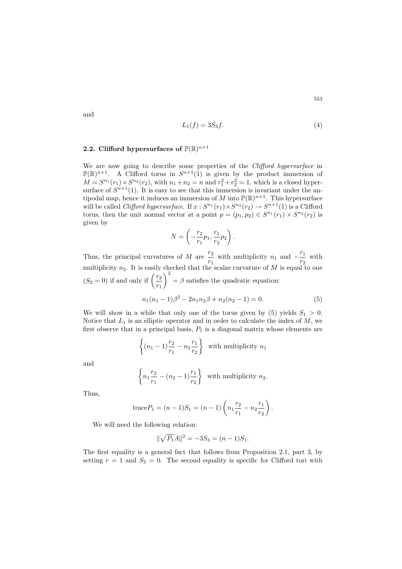$$
L_1(f) = 3S_3f.\tag{4}
$$

## **2.2. Clifford hypersurfaces of**  $P(\mathbb{R})^{n+1}$

We are now going to describe some properties of the *Clifford hypersurface* in  $\mathbb{P}(\mathbb{R})^{n+1}$ . A Clifford torus in  $S^{n+1}(1)$  is given by the product immersion of  $M = S^{n_1}(r_1) \times S^{n_2}(r_2)$ , with  $n_1 + n_2 = n$  and  $r_1^2 + r_2^2 = 1$ , which is a closed hypersurface of  $S^{n+1}(1)$ . It is easy to see that this immersion is invariant under the antipodal map, hence it induces an immersion of M into  $\mathbb{P}(\mathbb{R})^{n+1}$ . This hypersurface will be called *Clifford hypersurface*. If  $x : S^{n_1}(r_1) \times S^{n_2}(r_2) \to S^{n+1}(1)$  is a Clifford torus, then the unit normal vector at a point  $p = (p_1, p_2) \in S^{n_1}(r_1) \times S^{n_2}(r_2)$  is given by

$$
N = \left(-\frac{r_2}{r_1}p_1, \frac{r_1}{r_2}p_2\right).
$$

Thus, the principal curvatures of M are  $\frac{r_2}{r_1}$  $\frac{r_2}{r_1}$  with multiplicity  $n_1$  and  $-\frac{r_1}{r_2}$  with multiplicity  $n_2$ . It is easily checked that the scalar curvature of M is equal to one  $(S_2 = 0)$  if and only if  $\left(\frac{r_2}{r_1}\right)$  $\setminus^2$  $=$  β satisfies the quadratic equation:  $n_1(n_1 - 1)\beta^2 - 2n_1n_2\beta + n_2(n_2 - 1) = 0.$  (5)

We will show in a while that only one of the torus given by (5) yields  $S_1 > 0$ . Notice that  $L_1$  is an elliptic operator and in order to calculate the index of  $M$ , we first observe that in a principal basis,  $P_1$  is a diagonal matrix whose elements are

$$
\left\{ (n_1 - 1) \frac{r_2}{r_1} - n_2 \frac{r_1}{r_2} \right\} \text{ with multiplicity } n_1
$$

and

$$
\left\{ n_1 \frac{r_2}{r_1} - (n_2 - 1) \frac{r_1}{r_2} \right\}
$$
 with multiplicity  $n_2$ .

Thus,

trace
$$
P_1 = (n-1)S_1 = (n-1)\left(n_1\frac{r_2}{r_1} - n_2\frac{r_1}{r_2}\right).
$$

We will need the following relation:

$$
\|\sqrt{P_1}A\|^2 = -3S_3 = (n-1)S_1.
$$

The first equality is a general fact that follows from Proposition 2.1, part 3, by setting  $r = 1$  and  $S_2 = 0$ . The second equality is specific for Clifford tori with

and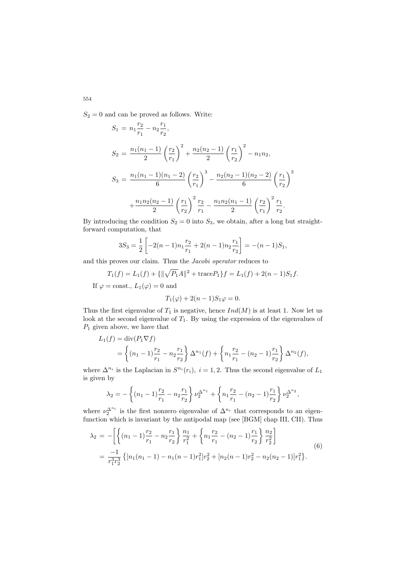$S_2 = 0$  and can be proved as follows. Write:

$$
S_1 = n_1 \frac{r_2}{r_1} - n_2 \frac{r_1}{r_2},
$$
  
\n
$$
S_2 = \frac{n_1(n_1 - 1)}{2} \left(\frac{r_2}{r_1}\right)^2 + \frac{n_2(n_2 - 1)}{2} \left(\frac{r_1}{r_2}\right)^2 - n_1 n_2,
$$
  
\n
$$
S_3 = \frac{n_1(n_1 - 1)(n_1 - 2)}{6} \left(\frac{r_2}{r_1}\right)^3 - \frac{n_2(n_2 - 1)(n_2 - 2)}{6} \left(\frac{r_1}{r_2}\right)^3 + \frac{n_1 n_2(n_2 - 1)}{2} \left(\frac{r_1}{r_2}\right)^2 \frac{r_2}{r_1} - \frac{n_1 n_2(n_1 - 1)}{2} \left(\frac{r_2}{r_1}\right)^2 \frac{r_1}{r_2}.
$$

By introducing the condition  $S_2 = 0$  into  $S_3$ , we obtain, after a long but straightforward computation, that

$$
3S_3 = \frac{1}{2} \left[ -2(n-1)n_1 \frac{r_2}{r_1} + 2(n-1)n_2 \frac{r_1}{r_2} \right] = -(n-1)S_1,
$$

and this proves our claim. Thus the *Jacobi operator* reduces to

$$
T_1(f) = L_1(f) + {\|\sqrt{P_1}A\|^2} + \text{trace}P_1\}f = L_1(f) + 2(n-1)S_1f.
$$

If  $\varphi = \text{const.}, L_1(\varphi) = 0$  and

$$
T_1(\varphi) + 2(n-1)S_1\varphi = 0.
$$

Thus the first eigenvalue of  $T_1$  is negative, hence  $Ind(M)$  is at least 1. Now let us look at the second eigenvalue of  $T_1$ . By using the expression of the eigenvalues of  $P_1$  given above, we have that

$$
L_1(f) = \text{div}(P_1 \nabla f)
$$
  
=  $\left\{ (n_1 - 1) \frac{r_2}{r_1} - n_2 \frac{r_1}{r_2} \right\} \Delta^{n_1}(f) + \left\{ n_1 \frac{r_2}{r_1} - (n_2 - 1) \frac{r_1}{r_2} \right\} \Delta^{n_2}(f),$ 

where  $\Delta^{n_i}$  is the Laplacian in  $S^{n_i}(r_i)$ ,  $i = 1, 2$ . Thus the second eigenvalue of  $L_1$ is given by

$$
\lambda_2 = -\left\{ (n_1 - 1)\frac{r_2}{r_1} - n_2 \frac{r_1}{r_2} \right\} \nu_2^{\Delta^{n_1}} + \left\{ n_1 \frac{r_2}{r_1} - (n_2 - 1)\frac{r_1}{r_2} \right\} \nu_2^{\Delta^{n_2}},
$$

where  $\nu_2^{\Delta^{n_i}}$  is the first nonzero eigenvalue of  $\Delta^{n_i}$  that corresponds to an eigenfunction which is invariant by the antipodal map (see [BGM] chap III, CII). Thus

$$
\lambda_2 = -\left[ \left\{ (n_1 - 1) \frac{r_2}{r_1} - n_2 \frac{r_1}{r_2} \right\} \frac{n_1}{r_1^2} + \left\{ n_1 \frac{r_2}{r_1} - (n_2 - 1) \frac{r_1}{r_2} \right\} \frac{n_2}{r_2^2} \right]
$$
  
= 
$$
\frac{-1}{r_1^3 r_2^3} \left\{ [n_1(n_1 - 1) - n_1(n - 1)r_1^2] r_2^2 + [n_2(n - 1)r_2^2 - n_2(n_2 - 1)] r_1^2 \right\}.
$$
 (6)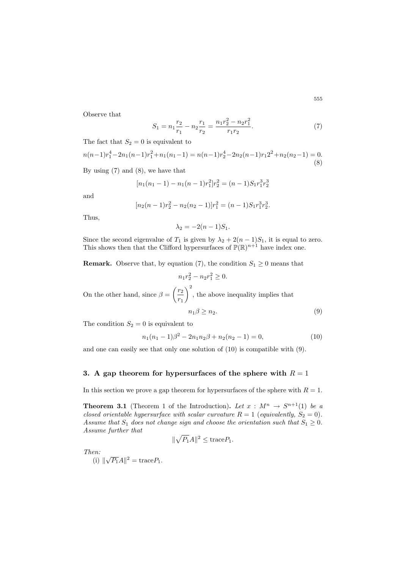Observe that

$$
S_1 = n_1 \frac{r_2}{r_1} - n_2 \frac{r_1}{r_2} = \frac{n_1 r_2^2 - n_2 r_1^2}{r_1 r_2}.
$$
 (7)

The fact that  $S_2 = 0$  is equivalent to

$$
n(n-1)r_1^4 - 2n_1(n-1)r_1^2 + n_1(n_1-1) = n(n-1)r_2^4 - 2n_2(n-1)r_12^2 + n_2(n_2-1) = 0.
$$
\n(8)

By using  $(7)$  and  $(8)$ , we have that

$$
[n_1(n_1-1) - n_1(n-1)r_1^2]r_2^2 = (n-1)S_1r_1^3r_2^3
$$

and

$$
[n_2(n-1)r_2^2 - n_2(n_2-1)]r_1^2 = (n-1)S_1r_1^3r_2^3.
$$

Thus,

$$
\lambda_2 = -2(n-1)S_1.
$$

Since the second eigenvalue of  $T_1$  is given by  $\lambda_2 + 2(n-1)S_1$ , it is equal to zero. This shows then that the Clifford hypersurfaces of  $\mathbb{P}(\mathbb{R})^{n+1}$  have index one.

**Remark.** Observe that, by equation (7), the condition  $S_1 \geq 0$  means that

$$
n_1r_2^2 - n_2r_1^2 \ge 0.
$$
  
On the other hand, since  $\beta = \left(\frac{r_2}{r_1}\right)^2$ , the above inequality implies that  

$$
n_1\beta \ge n_2.
$$
 (9)

The condition  $S_2 = 0$  is equivalent to

$$
n_1(n_1 - 1)\beta^2 - 2n_1n_2\beta + n_2(n_2 - 1) = 0,
$$
\n(10)

and one can easily see that only one solution of (10) is compatible with (9).

## **3.** A gap theorem for hypersurfaces of the sphere with  $R = 1$

In this section we prove a gap theorem for hypersurfaces of the sphere with  $R = 1$ .

**Theorem 3.1** (Theorem 1 of the Introduction). Let  $x : M^n \to S^{n+1}(1)$  be a *closed orientable hypersurface with scalar curvature*  $R = 1$  (*equivalently*,  $S_2 = 0$ ). *Assume that*  $S_1$  *does not change sign and choose the orientation such that*  $S_1 \geq 0$ *. Assume further that*

$$
\|\sqrt{P_1}A\|^2 \leq \text{trace}P_1.
$$

*Then:*

(i)  $\|\sqrt{P_1}A\|^2 = \text{trace}P_1.$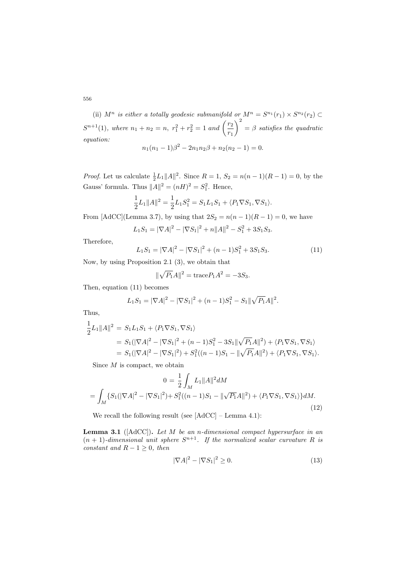556

(ii)  $M^n$  *is either a totally geodesic submanifold or*  $M^n = S^{n_1}(r_1) \times S^{n_2}(r_2)$  $S^{n+1}(1)$ , where  $n_1 + n_2 = n$ ,  $r_1^2 + r_2^2 = 1$  and  $\left(\frac{r_2}{r_1}\right)$  $\setminus^2$ = β *satisfies the quadratic equation:*

$$
n_1(n_1 - 1)\beta^2 - 2n_1n_2\beta + n_2(n_2 - 1) = 0.
$$

*Proof.* Let us calculate  $\frac{1}{2}L_1||A||^2$ . Since  $R = 1$ ,  $S_2 = n(n-1)(R-1) = 0$ , by the Gauss' formula. Thus  $||A||^2 = (nH)^2 = S_1^2$ . Hence,

$$
\frac{1}{2}L_1||A||^2 = \frac{1}{2}L_1S_1^2 = S_1L_1S_1 + \langle P_1 \nabla S_1, \nabla S_1 \rangle.
$$

From [AdCC](Lemma 3.7), by using that  $2S_2 = n(n-1)(R-1) = 0$ , we have

$$
L_1S_1 = |\nabla A|^2 - |\nabla S_1|^2 + n||A||^2 - S_1^2 + 3S_1S_3.
$$

Therefore,

$$
L_1S_1 = |\nabla A|^2 - |\nabla S_1|^2 + (n-1)S_1^2 + 3S_1S_3.
$$
 (11)

Now, by using Proposition 2.1 (3), we obtain that

$$
\|\sqrt{P_1}A\|^2 = \text{trace}P_1A^2 = -3S_3.
$$

Then, equation (11) becomes

$$
L_1S_1 = |\nabla A|^2 - |\nabla S_1|^2 + (n-1)S_1^2 - S_1 \|\sqrt{P_1}A\|^2.
$$

Thus,

$$
\frac{1}{2}L_1||A||^2 = S_1L_1S_1 + \langle P_1\nabla S_1, \nabla S_1 \rangle
$$
  
=  $S_1(|\nabla A|^2 - |\nabla S_1|^2 + (n-1)S_1^2 - 3S_1||\sqrt{P_1}A||^2) + \langle P_1\nabla S_1, \nabla S_1 \rangle$   
=  $S_1(|\nabla A|^2 - |\nabla S_1|^2) + S_1^2((n-1)S_1 - ||\sqrt{P_1}A||^2) + \langle P_1\nabla S_1, \nabla S_1 \rangle.$ 

Since  $M$  is compact, we obtain

$$
0 = \frac{1}{2} \int_{M} L_{1} \|A\|^{2} dM
$$
  
= 
$$
\int_{M} \{S_{1}(|\nabla A|^{2} - |\nabla S_{1}|^{2}) + S_{1}^{2}((n-1)S_{1} - \|\sqrt{P_{1}}A\|^{2}) + \langle P_{1}\nabla S_{1}, \nabla S_{1}\rangle\} dM.
$$
 (12)

We recall the following result (see  $[AdCC]$  – Lemma 4.1):

**Lemma 3.1** ([AdCC])**.** *Let* M *be an* n*-dimensional compact hypersurface in an*  $(n + 1)$ -dimensional unit sphere  $S^{n+1}$ . If the normalized scalar curvature R is *constant and*  $R - 1 \geq 0$ *, then* 

$$
|\nabla A|^2 - |\nabla S_1|^2 \ge 0. \tag{13}
$$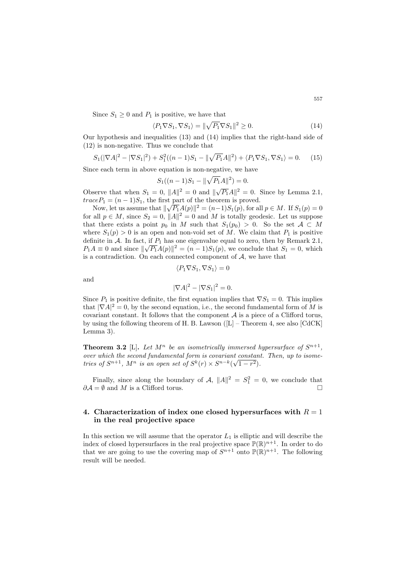Since  $S_1 \geq 0$  and  $P_1$  is positive, we have that

$$
\langle P_1 \nabla S_1, \nabla S_1 \rangle = ||\sqrt{P_1} \nabla S_1||^2 \ge 0. \tag{14}
$$

Our hypothesis and inequalities (13) and (14) implies that the right-hand side of (12) is non-negative. Thus we conclude that

$$
S_1(|\nabla A|^2 - |\nabla S_1|^2) + S_1^2((n-1)S_1 - \|\sqrt{P_1}A\|^2) + \langle P_1 \nabla S_1, \nabla S_1 \rangle = 0. \tag{15}
$$

Since each term in above equation is non-negative, we have

$$
S_1((n-1)S_1 - \|\sqrt{P_1}A\|^2) = 0.
$$

Observe that when  $S_1 = 0$ ,  $||A||^2 = 0$  and  $||\sqrt{P_1}A||^2 = 0$ . Since by Lemma 2.1,  $traceP_1 = (n-1)S_1$ , the first part of the theorem is proved.

 $c_{e}e_{1} = (n-1)S_{1}$ , the first part of the theorem is proved.<br>Now, let us assume that  $\|\sqrt{P_{1}}A(p)\|^{2} = (n-1)S_{1}(p)$ , for all  $p \in M$ . If  $S_{1}(p) = 0$ for all  $p \in M$ , since  $S_2 = 0$ ,  $||A||^2 = 0$  and M is totally geodesic. Let us suppose that there exists a point  $p_0$  in M such that  $S_1(p_0) > 0$ . So the set  $\mathcal{A} \subset M$ where  $S_1(p) > 0$  is an open and non-void set of M. We claim that  $P_1$  is positive definite in A. In fact, if  $P_1$  has one eigenvalue equal to zero, then by Remark 2.1,  $P_1A \equiv 0$  and since  $\|\sqrt{P_1}A(p)\|^2 = (n-1)S_1(p)$ , we conclude that  $S_1 = 0$ , which is a contradiction. On each connected component of  $A$ , we have that

$$
\langle P_1 \nabla S_1, \nabla S_1 \rangle = 0
$$

and

$$
|\nabla A|^2 - |\nabla S_1|^2 = 0.
$$

Since  $P_1$  is positive definite, the first equation implies that  $\nabla S_1 = 0$ . This implies that  $|\nabla A|^2 = 0$ , by the second equation, i.e., the second fundamental form of M is covariant constant. It follows that the component  $A$  is a piece of a Clifford torus, by using the following theorem of H. B. Lawson  $([L]$  – Theorem 4, see also  $[CdCK]$ Lemma 3).

**Theorem 3.2** [L]. Let  $M^n$  be an isometrically immersed hypersurface of  $S^{n+1}$ . *over which the second fundamental form is covariant constant. Then, up to isometries of*  $S^{n+1}$ ,  $M^n$  *is an open set of*  $S^k(r) \times S^{n-k}(\sqrt{1-r^2})$ .

Finally, since along the boundary of  $\mathcal{A}$ ,  $||A||^2 = S_1^2 = 0$ , we conclude that  $\partial \mathcal{A} = \emptyset$  and M is a Clifford torus.

## **4. Characterization of index one closed hypersurfaces with**  $R = 1$ **in the real projective space**

In this section we will assume that the operator  $L_1$  is elliptic and will describe the index of closed hypersurfaces in the real projective space  $\mathbb{P}(\mathbb{R})^{n+1}$ . In order to do that we are going to use the covering map of  $S^{n+1}$  onto  $\mathbb{P}(\mathbb{R})^{n+1}$ . The following result will be needed.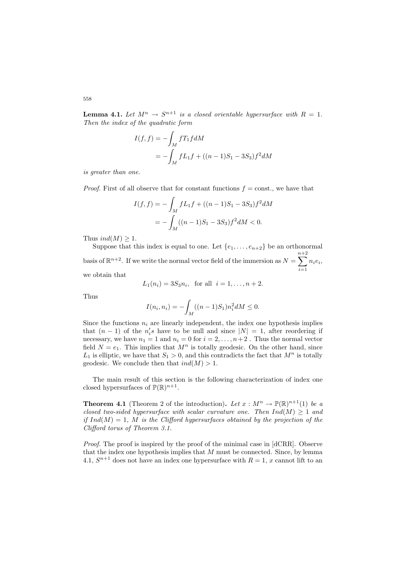**Lemma 4.1.** Let  $M^n \to S^{n+1}$  is a closed orientable hypersurface with  $R = 1$ . *Then the index of the quadratic form*

$$
I(f, f) = -\int_M f T_1 f dM
$$
  
=  $-\int_M f L_1 f + ((n - 1)S_1 - 3S_3) f^2 dM$ 

*is greater than one.*

*Proof.* First of all observe that for constant functions  $f = \text{const.}$ , we have that

$$
I(f, f) = -\int_M f L_1 f + ((n - 1)S_1 - 3S_3)f^2 dM
$$
  
= 
$$
-\int_M ((n - 1)S_1 - 3S_3)f^2 dM < 0.
$$

Thus  $ind(M) \geq 1$ .

Suppose that this index is equal to one. Let  $\{e_1,\ldots,e_{n+2}\}$  be an orthonormal basis of  $\mathbb{R}^{n+2}$ . If we write the normal vector field of the immersion as  $N =$  $\sum_{ }^{n+2}$  $i=1$  $n_i e_i$ we obtain that

$$
L_1(n_i) = 3S_3n_i
$$
, for all  $i = 1, ..., n + 2$ .

Thus

$$
I(n_i, n_i) = -\int_M ((n-1)S_1) n_i^2 dM \le 0.
$$

Since the functions  $n_i$  are linearly independent, the index one hypothesis implies that  $(n-1)$  of the  $n'_i s$  have to be null and since  $|N| = 1$ , after reordering if necessary, we have  $n_1 = 1$  and  $n_i = 0$  for  $i = 2, \ldots, n+2$ . Thus the normal vector field  $N = e_1$ . This implies that  $M^n$  is totally geodesic. On the other hand, since  $L_1$  is elliptic, we have that  $S_1 > 0$ , and this contradicts the fact that  $M^n$  is totally geodesic. We conclude then that  $ind(M) > 1$ .

The main result of this section is the following characterization of index one closed hypersurfaces of  $\mathbb{P}(\mathbb{R})^{n+1}$ .

**Theorem 4.1** (Theorem 2 of the introduction). Let  $x : M^n \to \mathbb{P}(\mathbb{R})^{n+1}(1)$  be a *closed two-sided hypersurface with scalar curvature one. Then*  $Ind(M) \geq 1$  *and if*  $Ind(M) = 1$ *, M is the Clifford hypersurfaces obtained by the projection of the Clifford torus of Theorem 3.1.*

*Proof.* The proof is inspired by the proof of the minimal case in [dCRR]. Observe that the index one hypothesis implies that  $M$  must be connected. Since, by lemma 4.1,  $S^{n+1}$  does not have an index one hypersurface with  $R = 1$ , x cannot lift to an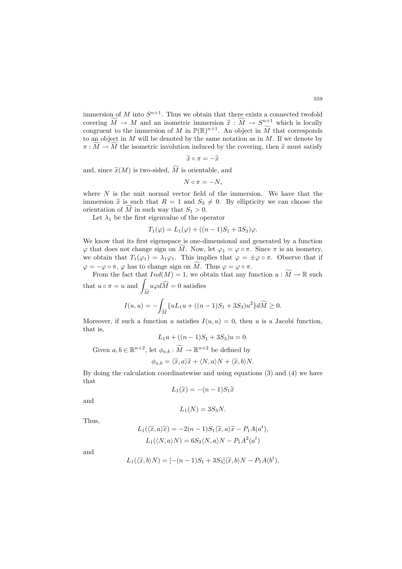immersion of M into  $S^{n+1}$ . Thus we obtain that there exists a connected twofold covering  $\widetilde{M} \to M$  and an isometric immersion  $\widetilde{x} : \widetilde{M} \to S^{n+1}$  which is locally

congruent to the immersion of M in  $\mathbb{P}(\mathbb{R})^{n+1}$ . An object in M that corresponds to an object in M will be denoted by the same notation as in  $M$ . If we denote by  $\pi: M \to M$  the isometric involution induced by the covering, then  $\tilde{x}$  must satisfy

$$
\widetilde{x}\circ\pi=-\widetilde{x}
$$

and, since  $\widetilde{x}(M)$  is two-sided, M is orientable, and

$$
N\circ\pi=-N,
$$

where  $N$  is the unit normal vector field of the immersion. We have that the immersion  $\tilde{x}$  is such that  $R = 1$  and  $S_3 \neq 0$ . By ellipticity we can choose the orientation of M in such way that  $S_1 > 0$ .

Let  $\lambda_1$  be the first eigenvalue of the operator

$$
T_1(\varphi) = L_1(\varphi) + ((n-1)S_1 + 3S_3)\varphi.
$$

We know that its first eigenspace is one-dimensional and generated by a function  $\varphi$  that does not change sign on M. Now, let  $\varphi_1 = \varphi \circ \pi$ . Since  $\pi$  is an isometry, we obtain that  $T_1(\varphi_1) = \lambda_1 \varphi_1$ . This implies that  $\varphi = \pm \varphi \circ \pi$ . Observe that if  $\varphi = -\varphi \circ \pi$ ,  $\varphi$  has to change sign on M. Thus  $\varphi = \varphi \circ \pi$ .

From the fact that  $Ind(M) = 1$ , we obtain that any function  $u : M \to \mathbb{R}$  such that  $u \circ \pi = u$  and  $u\varphi dM = 0$  satisfies

$$
J_M
$$
  

$$
I(u, u) = -\int_{\widetilde{M}} \{uL_1u + ((n-1)S_1 + 3S_3)u^2\}d\widetilde{M} \ge 0.
$$

Moreover, if such a function u satisfies  $I(u, u) = 0$ , then u is a Jacobi function, that is,

$$
L_1u + ((n-1)S_1 + 3S_3)u = 0.
$$

Given  $a, b \in \mathbb{R}^{n+2}$ , let  $\phi_{a,b} : M \to \mathbb{R}^{n+2}$  be defined by

$$
\phi_{a,b} = \langle \widetilde{x}, a \rangle \widetilde{x} + \langle N, a \rangle N + \langle \widetilde{x}, b \rangle N.
$$

By doing the calculation coordinatewise and using equations (3) and (4) we have that

$$
L_1(\widetilde{x}) = -(n-1)S_1\widetilde{x}
$$

and

$$
L_1(N) = 3S_3N.
$$

Thus,

$$
L_1(\langle \tilde{x}, a \rangle \tilde{x}) = -2(n-1)S_1\langle \tilde{x}, a \rangle \tilde{x} - P_1 A(a^t),
$$
  

$$
L_1(\langle N, a \rangle N) = 6S_3\langle N, a \rangle N - P_1 A^2(a^t)
$$

and

$$
L_1(\langle \tilde{x}, b \rangle N) = [-(n-1)S_1 + 3S_3] \langle \tilde{x}, b \rangle N - P_1 A(b^t),
$$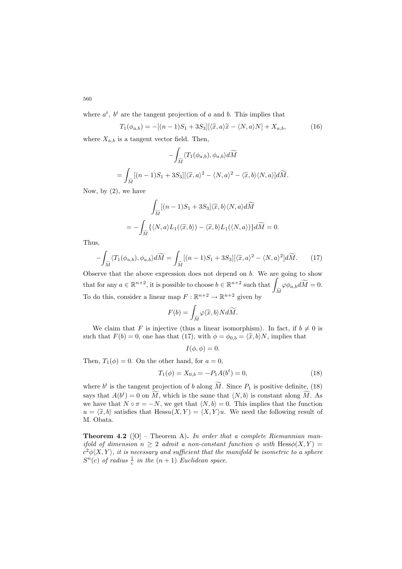where  $a^t$ ,  $b^t$  are the tangent projection of a and b. This implies that

$$
T_1(\phi_{a,b}) = -[(n-1)S_1 + 3S_3][\langle \tilde{x}, a \rangle \tilde{x} - \langle N, a \rangle N] + X_{a,b}, \qquad (16)
$$

where  $X_{a,b}$  is a tangent vector field. Then,

$$
-\int_{\widetilde{M}} \langle T_1(\phi_{a,b}), \phi_{a,b} \rangle d\widetilde{M}
$$
  
= 
$$
\int_{\widetilde{M}} [(n-1)S_1 + 3S_3] [\langle \widetilde{x}, a \rangle^2 - \langle N, a \rangle^2 - \langle \widetilde{x}, b \rangle \langle N, a \rangle] d\widetilde{M}.
$$

Now, by (2), we have

$$
\int_{\widetilde{M}} [(n-1)S_1 + 3S_3] \langle \widetilde{x}, b \rangle \langle N, a \rangle d\widetilde{M}
$$
  
= 
$$
- \int_{\widetilde{M}} \{ \langle N, a \rangle L_1(\langle \widetilde{x}, b \rangle) - \langle \widetilde{x}, b \rangle L_1(\langle N, a \rangle) \} d\widetilde{M} = 0.
$$

Thus,

$$
-\int_{\widetilde{M}} \langle T_1(\phi_{a,b}), \phi_{a,b} \rangle d\widetilde{M} = \int_{\widetilde{M}} [(n-1)S_1 + 3S_3] [\langle \widetilde{x}, a \rangle^2 - \langle N, a \rangle^2] d\widetilde{M}.
$$
 (17)

Observe that the above expression does not depend on  $b$ . We are going to show that for any  $a \in \mathbb{R}^{n+2}$ , it is possible to choose  $b \in \mathbb{R}^{n+2}$  such that  $\Box$  $\overline{M}$  $\varphi \phi_{a,b} dM = 0.$ To do this, consider a linear map  $F : \mathbb{R}^{n+2} \to \mathbb{R}^{n+2}$  given by

$$
F(b) = \int_{\widetilde{M}} \varphi \langle \widetilde{x}, b \rangle N d\widetilde{M}.
$$

We claim that F is injective (thus a linear isomorphism). In fact, if  $b \neq 0$  is such that  $F(b) = 0$ , one has that (17), with  $\phi = \phi_{0,b} = \langle \tilde{x}, b \rangle N$ , implies that

$$
I(\phi,\phi)=0.
$$

Then,  $T_1(\phi) = 0$ . On the other hand, for  $a = 0$ ,

$$
T_1(\phi) = X_{0,b} = -P_1 A(b^t) = 0,
$$
\n(18)

where  $b^t$  is the tangent projection of b along  $\tilde{M}$ . Since  $P_1$  is positive definite, (18) says that  $A(b^t) = 0$  on  $\tilde{M}$ , which is the same that  $\langle N, b \rangle$  is constant along  $\tilde{M}$ . As we have that  $N \circ \pi = -N$ , we get that  $\langle N, b \rangle = 0$ . This implies that the function  $u = \langle \tilde{x}, b \rangle$  satisfies that Hessu $(X, Y) = \langle X, Y \rangle u$ . We need the following result of M. Obata.

**Theorem 4.2** ([O] – Theorem A)**.** *In order that a complete Riemannian manifold of dimension*  $n \geq 2$  *admit a non-constant function*  $\phi$  *with* Hess $\phi(X, Y)$  =  $c^2\phi\langle X, Y \rangle$ , it is necessary and sufficient that the manifold be isometric to a sphere  $S<sup>n</sup>(c)$  of radius  $\frac{1}{c}$  in the  $(n + 1)$  *Euclidean space.*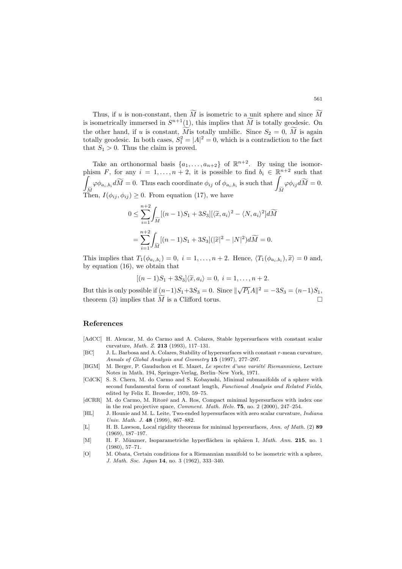Thus, if u is non-constant, then M is isometric to a unit sphere and since M is isometrically immersed in  $S^{n+1}(1)$ , this implies that M is totally geodesic. On the other hand, if u is constant, M is totally umbilic. Since  $S_2 = 0$ , M is again totally geodesic. In both cases,  $S_1^2 = |A|^2 = 0$ , which is a contradiction to the fact that  $S_1 > 0$ . Thus the claim is proved.

Take an orthonormal basis  $\{a_1,\ldots,a_{n+2}\}\;$  of  $\mathbb{R}^{n+2}$ . By using the isomorphism F, for any  $i = 1, ..., n + 2$ , it is possible to find  $b_i \in \mathbb{R}^{n+2}$  such that  $\int_{\widetilde{M}} \varphi \phi_{a_i, b_i} d\widetilde{M} = 0.$  Thus each coordinate  $\phi_{ij}$  of  $\phi_{a_i, b_i}$  is such that  $\int_{\widetilde{M}}$  $J_M$ <br>Then,  $I(\phi_{ij}, \phi_{ij}) \geq 0$ . From equation (17), we have  $\varphi \phi_{ij} dM = 0.$ 

$$
0 \leq \sum_{i=1}^{n+2} \int_{\widetilde{M}} [(n-1)S_1 + 3S_3] [\langle \widetilde{x}, a_i \rangle^2 - \langle N, a_i \rangle^2] d\widetilde{M}
$$
  
= 
$$
\sum_{i=1}^{n+2} \int_{\widetilde{M}} [(n-1)S_1 + 3S_3] (|\widetilde{x}|^2 - |N|^2) d\widetilde{M} = 0.
$$

This implies that  $T_1(\phi_{a_i,b_i})=0, i = 1,\ldots,n+2$ . Hence,  $\langle T_1(\phi_{a_i,b_i}), \tilde{x}\rangle = 0$  and, by equation (16), we obtain that

$$
[(n-1)S1+3S3]\langle \tilde{x}, a_i \rangle = 0, i = 1,\ldots, n+2.
$$

But this is only possible if  $(n-1)S_1 + 3S_3 = 0$ . Since  $\|\sqrt{P_1}A\|^2 = -3S_3 = (n-1)S_1$ , theorem (3) implies that  $M$  is a Clifford torus.  $\square$ 

#### **References**

- [AdCC] H. Alencar, M. do Carmo and A. Colares, Stable hypersurfaces with constant scalar curvature, Math. Z. **213** (1993), 117–131.
- [BC] J. L. Barbosa and A. Colares, Stability of hypersurfaces with constant r-mean curvature, Annals of Global Analysis and Geometry **15** (1997), 277–297.
- [BGM] M. Berger, P. Gauduchon et E. Mazet, Le spectre d'une variété Riemanniene, Lecture Notes in Math. 194, Springer-Verlag, Berlin–New York, 1971.
- [CdCK] S. S. Chern, M. do Carmo and S. Kobayashi, Minimal submanifolds of a sphere with second fundamental form of constant length, Functional Analysis and Related Fields, edited by Felix E. Browder, 1970, 59–75.
- [dCRR] M. do Carmo, M. Ritoré and A. Ros, Compact minimal hypersurfaces with index one in the real projective space, Comment. Math. Helv. **75**, no. 2 (2000), 247–254.
- [HL] J. Hounie and M. L. Leite, Two-ended hypersurfaces with zero scalar curvature, *Indiana* Univ. Math. J. **48** (1999), 867–882.
- [L] H. B. Lawson, Local rigidity theorems for minimal hypersurfaces, Ann. of Math. (2) **89** (1969), 187–197.
- [M] H. F. M¨unzner, Isoparametriche hyperfl¨achen in sph¨aren I, Math. Ann. **215**, no. 1 (1980), 57–71.
- [O] M. Obata, Certain conditions for a Riemannian manifold to be isometric with a sphere, J. Math. Soc. Japan **14**, no. 3 (1962), 333–340.